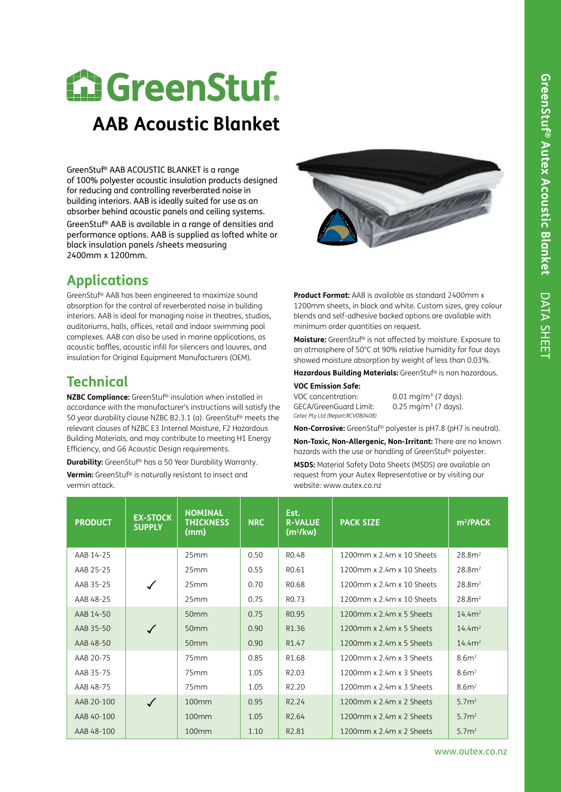# **E. GreenStuf. Pure Polyester**

# **AAB Acoustic Blanket**

GreenStuf® AAB ACOUSTIC BLANKET is a range of 100% polyester acoustic insulation products designed for reducing and controlling reverberated noise in building interiors. AAB is ideally suited for use as an absorber behind acoustic panels and ceiling systems. GreenStuf® AAB is available in a range of densities and performance options. AAB is supplied as lofted white or black insulation panels /sheets measuring 2400mm x 1200mm.

## **Applications**

GreenStuf® AAB has been engineered to maximize sound absorption for the control of reverberated noise in building interiors. AAB is ideal for managing noise in theatres, studios, auditoriums, halls, offices, retail and indoor swimming pool complexes. AAB can also be used in marine applications, as acoustic baffles, acoustic infill for silencers and louvres, and insulation for Original Equipment Manufacturers (OEM).

### **Technical**

**NZBC Compliance:** GreenStuf® insulation when installed in accordance with the manufacturer's instructions will satisfy the 50 year durability clause NZBC B2.3.1 (a). GreenStuf® meets the relevant clauses of NZBC E3 Internal Moisture, F2 Hazardous Building Materials, and may contribute to meeting H1 Energy Efficiency, and G6 Acoustic Design requirements.

**Durability:** GreenStuf® has a 50 Year Durability Warranty. **Vermin:** GreenStuf® is naturally resistant to insect and vermin attack.



**Product Format:** AAB is available as standard 2400mm x 1200mm sheets, in black and white. Custom sizes, grey colour blends and self-adhesive backed options are available with minimum order quantities on request.

**Moisture:** GreenStuf® is not affected by moisture. Exposure to an atmosphere of 50°C at 90% relative humidity for four days showed moisture absorption by weight of less than 0.03%.

**Hazardous Building Materials:** GreenStuf® is non hazardous.

#### **VOC Emission Safe:**

VOC concentration: 0.01 mg/m<sup>3</sup> (7 days). GECA/GreenGuard Limit: 0.25 mg/m<sup>3</sup> (7 days). *Cetec Pty Ltd (Report:RCV080408)*

**Non-Corrosive:** GreenStuf® polyester is pH7.8 (pH7 is neutral).

**Non-Toxic, Non-Allergenic, Non-Irritant:** There are no known hazards with the use or handling of GreenStuf® polyester.

**MSDS:** Material Safety Data Sheets (MSDS) are available on request from your Autex Representative or by visiting our website: www.autex.co.nz

| <b>PRODUCT</b> | <b>EX-STOCK</b><br><b>SUPPLY</b> | <b>NOMINAL</b><br><b>THICKNESS</b><br>(mm) | <b>NRC</b> | Est.<br><b>R-VALUE</b><br>(m <sup>2</sup> /kw) | <b>PACK SIZE</b>                          | $m^2$ /PACK        |
|----------------|----------------------------------|--------------------------------------------|------------|------------------------------------------------|-------------------------------------------|--------------------|
| AAB 14-25      |                                  | 25mm                                       | 0.50       | R <sub>0.48</sub>                              | 1200mm x 2.4m x 10 Sheets                 | 28.8 <sup>2</sup>  |
| AAB 25-25      |                                  | 25mm                                       | 0.55       | R <sub>0.61</sub>                              | $1200$ mm x $2.4$ m x $10.5$ heets        | 28.8 <sup>2</sup>  |
| AAB 35-25      | $\checkmark$                     | 25mm                                       | 0.70       | R <sub>0.68</sub>                              | 1200mm x 2.4m x 10 Sheets                 | 28.8 <sup>2</sup>  |
| AAB 48-25      |                                  | 25mm                                       | 0.75       | RO.73                                          | $1200$ mm x $2.4$ m x $10.5$ heets        | 28.8 <sup>2</sup>  |
| AAB 14-50      |                                  | 50 <sub>mm</sub>                           | 0.75       | R <sub>0.95</sub>                              | $1200$ mm x $2.4$ m x 5 Sheets            | 14.4m <sup>2</sup> |
| AAB 35-50      |                                  | 50 <sub>mm</sub>                           | 0.90       | R1.36                                          | 1200mm x 2.4m x 5 Sheets                  | 14.4m <sup>2</sup> |
| AAB 48-50      |                                  | 50 <sub>mm</sub>                           | 0.90       | R <sub>1.47</sub>                              | 1200mm x 2.4m x 5 Sheets                  | 14.4m <sup>2</sup> |
| AAB 20-75      |                                  | 75mm                                       | 0.85       | R1.68                                          | 1200mm x 2.4m x 3 Sheets                  | 8.6m <sup>2</sup>  |
| AAB 35-75      |                                  | 75mm                                       | 1.05       | R <sub>2.0</sub> 3                             | 1200mm x 2.4m x 3 Sheets                  | 8.6m <sup>2</sup>  |
| AAB 48-75      |                                  | 75mm                                       | 1.05       | R <sub>2.20</sub>                              | 1200mm x 2.4m x 3 Sheets                  | 8.6m <sup>2</sup>  |
| AAB 20-100     | $\checkmark$                     | 100mm                                      | 0.95       | R <sub>2.24</sub>                              | 1200mm x 2.4m x 2 Sheets                  | 5.7 <sup>2</sup>   |
| AAB 40-100     |                                  | 100 <sub>mm</sub>                          | 1.05       | R <sub>2.64</sub>                              | 1200 $mm \times$ 2.4 $m \times$ 2. Sheets | 5.7 <sup>2</sup>   |
| AAB 48-100     |                                  | 100mm                                      | 1.10       | R <sub>2.81</sub>                              | 1200 $mm \times$ 2.4 $m \times$ 2. Sheets | 5.7 <sup>2</sup>   |